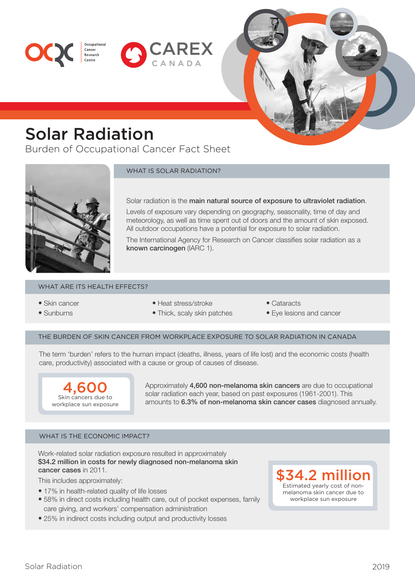



# Solar Radiation

Cancer<br>Research

Burden of Occupational Cancer Fact Sheet



WHAT IS SOLAR RADIATION?

Solar radiation is the main natural source of exposure to ultraviolet radiation.

Levels of exposure vary depending on geography, seasonality, time of day and meteorology, as well as time spent out of doors and the amount of skin exposed. All outdoor occupations have a potential for exposure to solar radiation.

The International Agency for Research on Cancer classifies solar radiation as a known carcinogen (IARC 1).

## WHAT ARE ITS HEALTH EFFECTS?

- Skin cancer
- Sunburns
- Heat stress/stroke
- Cataracts
	- Eye lesions and cancer

## THE BURDEN OF SKIN CANCER FROM WORKPLACE EXPOSURE TO SOLAR RADIATION IN CANADA

• Thick, scaly skin patches

The term 'burden' refers to the human impact (deaths, illness, years of life lost) and the economic costs (health care, productivity) associated with a cause or group of causes of disease.



Approximately 4,600 non-melanoma skin cancers are due to occupational solar radiation each year, based on past exposures (1961-2001). This amounts to 6.3% of non-melanoma skin cancer cases diagnosed annually.

# WHAT IS THE ECONOMIC IMPACT?

Work-related solar radiation exposure resulted in approximately \$34.2 million in costs for newly diagnosed non-melanoma skin cancer cases in 2011.

This includes approximately:

- 17% in health-related quality of life losses
- 58% in direct costs including health care, out of pocket expenses, family care giving, and workers' compensation administration
- 25% in indirect costs including output and productivity losses

 $$34.2$  mill Estimated yearly cost of nonmelanoma skin cancer due to workplace sun exposure